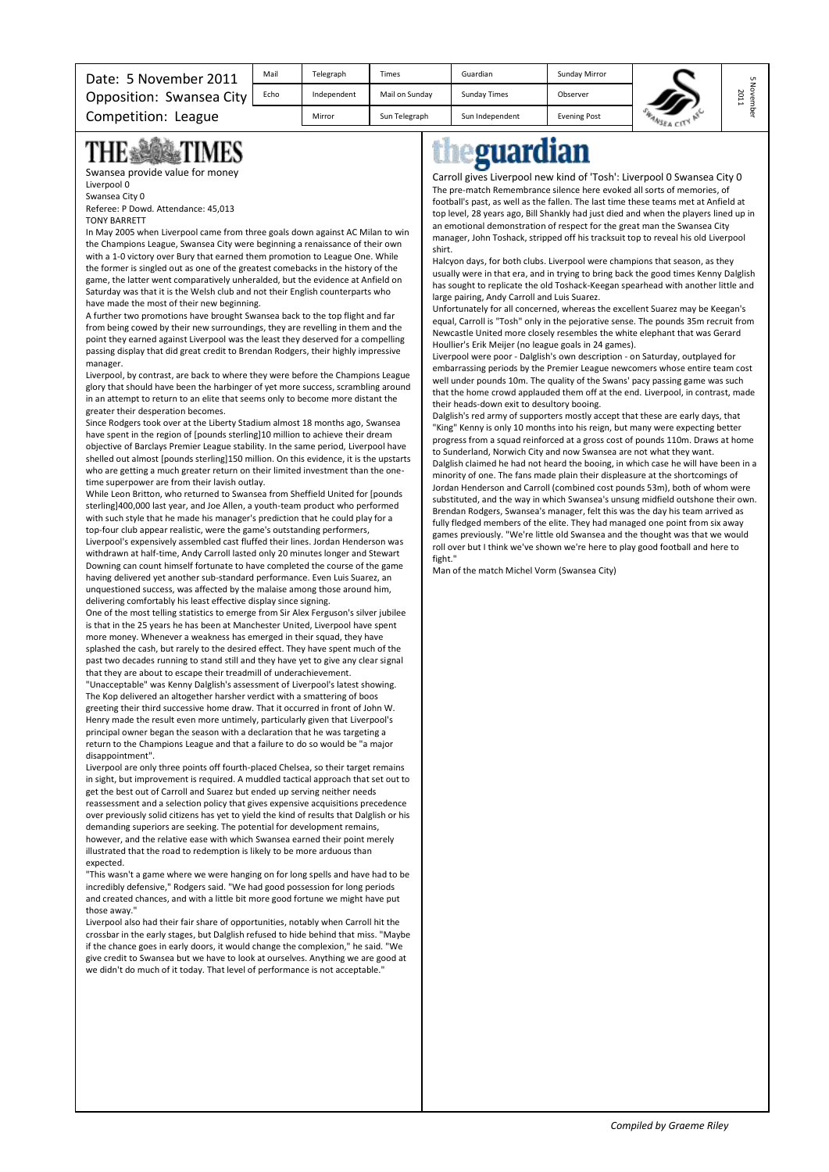| Date: 5 November 2011    | Mail | Telegraph   | Times          | Guardian        | Sunday Mirror       |          |         |
|--------------------------|------|-------------|----------------|-----------------|---------------------|----------|---------|
| Opposition: Swansea City | Echo | Independent | Mail on Sundav | Sundav Times    | Observer            |          | 20<br>▵ |
| Competition: League      |      | Mirror      | Sun Telegraph  | Sun Independent | <b>Evening Post</b> | ^SEA CIT |         |

## **THE SOMETIMES**

Swansea provide value for money Liverpool 0

Swansea City 0

Referee: P Dowd. Attendance: 45,013 TONY BARRETT

In May 2005 when Liverpool came from three goals down against AC Milan to win the Champions League, Swansea City were beginning a renaissance of their own with a 1-0 victory over Bury that earned them promotion to League One. While the former is singled out as one of the greatest comebacks in the history of the game, the latter went comparatively unheralded, but the evidence at Anfield on Saturday was that it is the Welsh club and not their English counterparts who have made the most of their new beginning.

A further two promotions have brought Swansea back to the top flight and far from being cowed by their new surroundings, they are revelling in them and the point they earned against Liverpool was the least they deserved for a compelling passing display that did great credit to Brendan Rodgers, their highly impressive manager.

Liverpool, by contrast, are back to where they were before the Champions League glory that should have been the harbinger of yet more success, scrambling around in an attempt to return to an elite that seems only to become more distant the greater their desperation becomes.

Since Rodgers took over at the Liberty Stadium almost 18 months ago, Swansea have spent in the region of [pounds sterling]10 million to achieve their dream objective of Barclays Premier League stability. In the same period, Liverpool have shelled out almost [pounds sterling]150 million. On this evidence, it is the upstarts who are getting a much greater return on their limited investment than the onetime superpower are from their lavish outlay.

While Leon Britton, who returned to Swansea from Sheffield United for [pounds sterling]400,000 last year, and Joe Allen, a youth-team product who performed with such style that he made his manager's prediction that he could play for a top-four club appear realistic, were the game's outstanding performers,

Liverpool's expensively assembled cast fluffed their lines. Jordan Henderson was withdrawn at half-time, Andy Carroll lasted only 20 minutes longer and Stewart Downing can count himself fortunate to have completed the course of the game having delivered yet another sub-standard performance. Even Luis Suarez, an unquestioned success, was affected by the malaise among those around him, delivering comfortably his least effective display since signing.

One of the most telling statistics to emerge from Sir Alex Ferguson's silver jubilee is that in the 25 years he has been at Manchester United, Liverpool have spent more money. Whenever a weakness has emerged in their squad, they have splashed the cash, but rarely to the desired effect. They have spent much of the past two decades running to stand still and they have yet to give any clear signal that they are about to escape their treadmill of underachievement.

"Unacceptable" was Kenny Dalglish's assessment of Liverpool's latest showing. The Kop delivered an altogether harsher verdict with a smattering of boos greeting their third successive home draw. That it occurred in front of John W. Henry made the result even more untimely, particularly given that Liverpool's principal owner began the season with a declaration that he was targeting a return to the Champions League and that a failure to do so would be "a major disappointment".

Liverpool are only three points off fourth-placed Chelsea, so their target remains in sight, but improvement is required. A muddled tactical approach that set out to get the best out of Carroll and Suarez but ended up serving neither needs reassessment and a selection policy that gives expensive acquisitions precedence over previously solid citizens has yet to yield the kind of results that Dalglish or his demanding superiors are seeking. The potential for development remains, however, and the relative ease with which Swansea earned their point merely illustrated that the road to redemption is likely to be more arduous than expected.

"This wasn't a game where we were hanging on for long spells and have had to be incredibly defensive," Rodgers said. "We had good possession for long periods and created chances, and with a little bit more good fortune we might have put those away."

Liverpool also had their fair share of opportunities, notably when Carroll hit the crossbar in the early stages, but Dalglish refused to hide behind that miss. "Maybe if the chance goes in early doors, it would change the complexion," he said. "We give credit to Swansea but we have to look at ourselves. Anything we are good at we didn't do much of it today. That level of performance is not acceptable.

# eguardian

Carroll gives Liverpool new kind of 'Tosh': Liverpool 0 Swansea City 0 The pre-match Remembrance silence here evoked all sorts of memories, of football's past, as well as the fallen. The last time these teams met at Anfield at top level, 28 years ago, Bill Shankly had just died and when the players lined up in an emotional demonstration of respect for the great man the Swansea City manager, John Toshack, stripped off his tracksuit top to reveal his old Liverpool shirt.

Halcyon days, for both clubs. Liverpool were champions that season, as they usually were in that era, and in trying to bring back the good times Kenny Dalglish has sought to replicate the old Toshack-Keegan spearhead with another little and large pairing, Andy Carroll and Luis Suarez.

Unfortunately for all concerned, whereas the excellent Suarez may be Keegan's equal, Carroll is "Tosh" only in the pejorative sense. The pounds 35m recruit from Newcastle United more closely resembles the white elephant that was Gerard Houllier's Erik Meijer (no league goals in 24 games).

Liverpool were poor - Dalglish's own description - on Saturday, outplayed for embarrassing periods by the Premier League newcomers whose entire team cost well under pounds 10m. The quality of the Swans' pacy passing game was such that the home crowd applauded them off at the end. Liverpool, in contrast, made their heads-down exit to desultory booing.

Dalglish's red army of supporters mostly accept that these are early days, that "King" Kenny is only 10 months into his reign, but many were expecting better progress from a squad reinforced at a gross cost of pounds 110m. Draws at home to Sunderland, Norwich City and now Swansea are not what they want. Dalglish claimed he had not heard the booing, in which case he will have been in a minority of one. The fans made plain their displeasure at the shortcomings of Jordan Henderson and Carroll (combined cost pounds 53m), both of whom were substituted, and the way in which Swansea's unsung midfield outshone their own. Brendan Rodgers, Swansea's manager, felt this was the day his team arrived as fully fledged members of the elite. They had managed one point from six away games previously. "We're little old Swansea and the thought was that we would roll over but I think we've shown we're here to play good football and here to fight."

Man of the match Michel Vorm (Swansea City)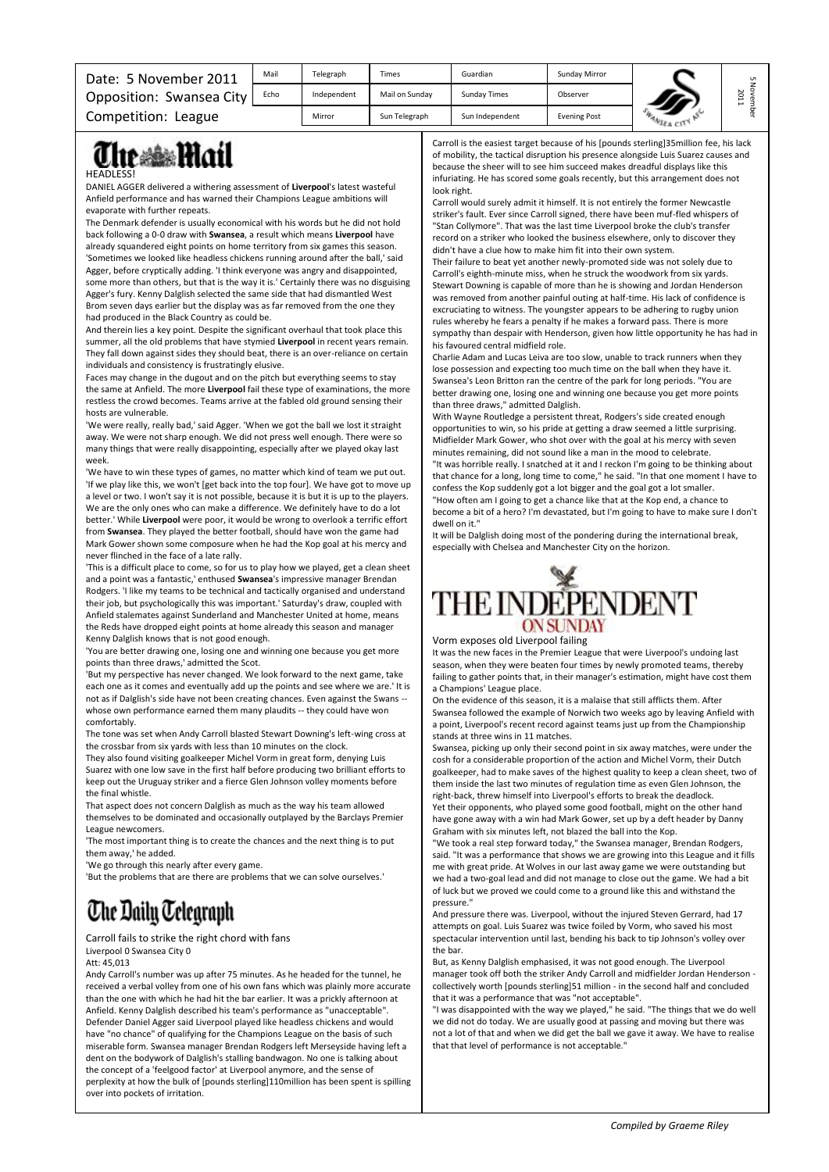| Date: 5 November 2011    | Mail | Telegraph   | Times          | Guardian            | Sunday Mirror       |            | LЛ  |
|--------------------------|------|-------------|----------------|---------------------|---------------------|------------|-----|
| Opposition: Swansea City | Echo | Independent | Mail on Sundav | <b>Sunday Times</b> | Observer            |            | 201 |
| Competition: League      |      | Mirror      | Sun Telegraph  | Sun Independent     | <b>Evening Post</b> | ^^\$EA CIT |     |

# The **Mail**

### HEADLESS!

DANIEL AGGER delivered a withering assessment of **Liverpool**'s latest wasteful Anfield performance and has warned their Champions League ambitions will evaporate with further repeats.

The Denmark defender is usually economical with his words but he did not hold back following a 0-0 draw with **Swansea**, a result which means **Liverpool** have already squandered eight points on home territory from six games this season. 'Sometimes we looked like headless chickens running around after the ball,' said Agger, before cryptically adding. 'I think everyone was angry and disappointed, some more than others, but that is the way it is.' Certainly there was no disguising Agger's fury. Kenny Dalglish selected the same side that had dismantled West Brom seven days earlier but the display was as far removed from the one they had produced in the Black Country as could be.

And therein lies a key point. Despite the significant overhaul that took place this summer, all the old problems that have stymied **Liverpool** in recent years remain. They fall down against sides they should beat, there is an over-reliance on certain individuals and consistency is frustratingly elusive.

Faces may change in the dugout and on the pitch but everything seems to stay the same at Anfield. The more **Liverpool** fail these type of examinations, the more restless the crowd becomes. Teams arrive at the fabled old ground sensing their hosts are vulnerable.

'We were really, really bad,' said Agger. 'When we got the ball we lost it straight away. We were not sharp enough. We did not press well enough. There were so many things that were really disappointing, especially after we played okay last week.

'We have to win these types of games, no matter which kind of team we put out. 'If we play like this, we won't [get back into the top four]. We have got to move up a level or two. I won't say it is not possible, because it is but it is up to the players. We are the only ones who can make a difference. We definitely have to do a lot better.' While **Liverpool** were poor, it would be wrong to overlook a terrific effort from **Swansea**. They played the better football, should have won the game had Mark Gower shown some composure when he had the Kop goal at his mercy and never flinched in the face of a late rally.

'This is a difficult place to come, so for us to play how we played, get a clean sheet and a point was a fantastic,' enthused **Swansea**'s impressive manager Brendan Rodgers. 'I like my teams to be technical and tactically organised and understand their job, but psychologically this was important.' Saturday's draw, coupled with Anfield stalemates against Sunderland and Manchester United at home, means the Reds have dropped eight points at home already this season and manager Kenny Dalglish knows that is not good enough.

'You are better drawing one, losing one and winning one because you get more points than three draws,' admitted the Scot.

'But my perspective has never changed. We look forward to the next game, take each one as it comes and eventually add up the points and see where we are.' It is not as if Dalglish's side have not been creating chances. Even against the Swans - whose own performance earned them many plaudits -- they could have won comfortably.

The tone was set when Andy Carroll blasted Stewart Downing's left-wing cross at the crossbar from six yards with less than 10 minutes on the clock.

They also found visiting goalkeeper Michel Vorm in great form, denying Luis Suarez with one low save in the first half before producing two brilliant efforts to keep out the Uruguay striker and a fierce Glen Johnson volley moments before the final whistle.

That aspect does not concern Dalglish as much as the way his team allowed themselves to be dominated and occasionally outplayed by the Barclays Premier League newcomers.

'The most important thing is to create the chances and the next thing is to put them away,' he added.

'We go through this nearly after every game.

'But the problems that are there are problems that we can solve ourselves.'

## Che Daily Celegraph

Carroll fails to strike the right chord with fans Liverpool 0 Swansea City 0

### Att: 45,013

Andy Carroll's number was up after 75 minutes. As he headed for the tunnel, he received a verbal volley from one of his own fans which was plainly more accurate than the one with which he had hit the bar earlier. It was a prickly afternoon at Anfield. Kenny Dalglish described his team's performance as "unacceptable". Defender Daniel Agger said Liverpool played like headless chickens and would have "no chance" of qualifying for the Champions League on the basis of such miserable form. Swansea manager Brendan Rodgers left Merseyside having left a dent on the bodywork of Dalglish's stalling bandwagon. No one is talking about the concept of a 'feelgood factor' at Liverpool anymore, and the sense of perplexity at how the bulk of [pounds sterling]110million has been spent is spilling over into pockets of irritation.

Carroll is the easiest target because of his [pounds sterling]35million fee, his lack of mobility, the tactical disruption his presence alongside Luis Suarez causes and because the sheer will to see him succeed makes dreadful displays like this infuriating. He has scored some goals recently, but this arrangement does not look right.

Carroll would surely admit it himself. It is not entirely the former Newcastle striker's fault. Ever since Carroll signed, there have been muf-fled whispers of "Stan Collymore". That was the last time Liverpool broke the club's transfer record on a striker who looked the business elsewhere, only to discover they didn't have a clue how to make him fit into their own system.

Their failure to beat yet another newly-promoted side was not solely due to Carroll's eighth-minute miss, when he struck the woodwork from six yards. Stewart Downing is capable of more than he is showing and Jordan Henderson was removed from another painful outing at half-time. His lack of confidence is excruciating to witness. The youngster appears to be adhering to rugby union rules whereby he fears a penalty if he makes a forward pass. There is more sympathy than despair with Henderson, given how little opportunity he has had in his favoured central midfield role.

Charlie Adam and Lucas Leiva are too slow, unable to track runners when they lose possession and expecting too much time on the ball when they have it. Swansea's Leon Britton ran the centre of the park for long periods. "You are better drawing one, losing one and winning one because you get more points than three draws," admitted Dalglish.

With Wayne Routledge a persistent threat, Rodgers's side created enough opportunities to win, so his pride at getting a draw seemed a little surprising. Midfielder Mark Gower, who shot over with the goal at his mercy with seven minutes remaining, did not sound like a man in the mood to celebrate. "It was horrible really. I snatched at it and I reckon I'm going to be thinking about that chance for a long, long time to come," he said. "In that one moment I have to

confess the Kop suddenly got a lot bigger and the goal got a lot smaller. "How often am I going to get a chance like that at the Kop end, a chance to become a bit of a hero? I'm devastated, but I'm going to have to make sure I don't dwell on it.

It will be Dalglish doing most of the pondering during the international break, especially with Chelsea and Manchester City on the horizon.



Vorm exposes old Liverpool failing

It was the new faces in the Premier League that were Liverpool's undoing last season, when they were beaten four times by newly promoted teams, thereby failing to gather points that, in their manager's estimation, might have cost them a Champions' League place.

On the evidence of this season, it is a malaise that still afflicts them. After Swansea followed the example of Norwich two weeks ago by leaving Anfield with a point, Liverpool's recent record against teams just up from the Championship stands at three wins in 11 matches.

Swansea, picking up only their second point in six away matches, were under the cosh for a considerable proportion of the action and Michel Vorm, their Dutch goalkeeper, had to make saves of the highest quality to keep a clean sheet, two of them inside the last two minutes of regulation time as even Glen Johnson, the right-back, threw himself into Liverpool's efforts to break the deadlock.

Yet their opponents, who played some good football, might on the other hand have gone away with a win had Mark Gower, set up by a deft header by Danny Graham with six minutes left, not blazed the ball into the Kop.

"We took a real step forward today," the Swansea manager, Brendan Rodgers, said. "It was a performance that shows we are growing into this League and it fills me with great pride. At Wolves in our last away game we were outstanding but we had a two-goal lead and did not manage to close out the game. We had a bit of luck but we proved we could come to a ground like this and withstand the pressure."

And pressure there was. Liverpool, without the injured Steven Gerrard, had 17 attempts on goal. Luis Suarez was twice foiled by Vorm, who saved his most spectacular intervention until last, bending his back to tip Johnson's volley over the bar.

But, as Kenny Dalglish emphasised, it was not good enough. The Liverpool manager took off both the striker Andy Carroll and midfielder Jordan Henderson collectively worth [pounds sterling]51 million - in the second half and concluded that it was a performance that was "not acceptable".

"I was disappointed with the way we played," he said. "The things that we do well we did not do today. We are usually good at passing and moving but there was not a lot of that and when we did get the ball we gave it away. We have to realise that that level of performance is not acceptable."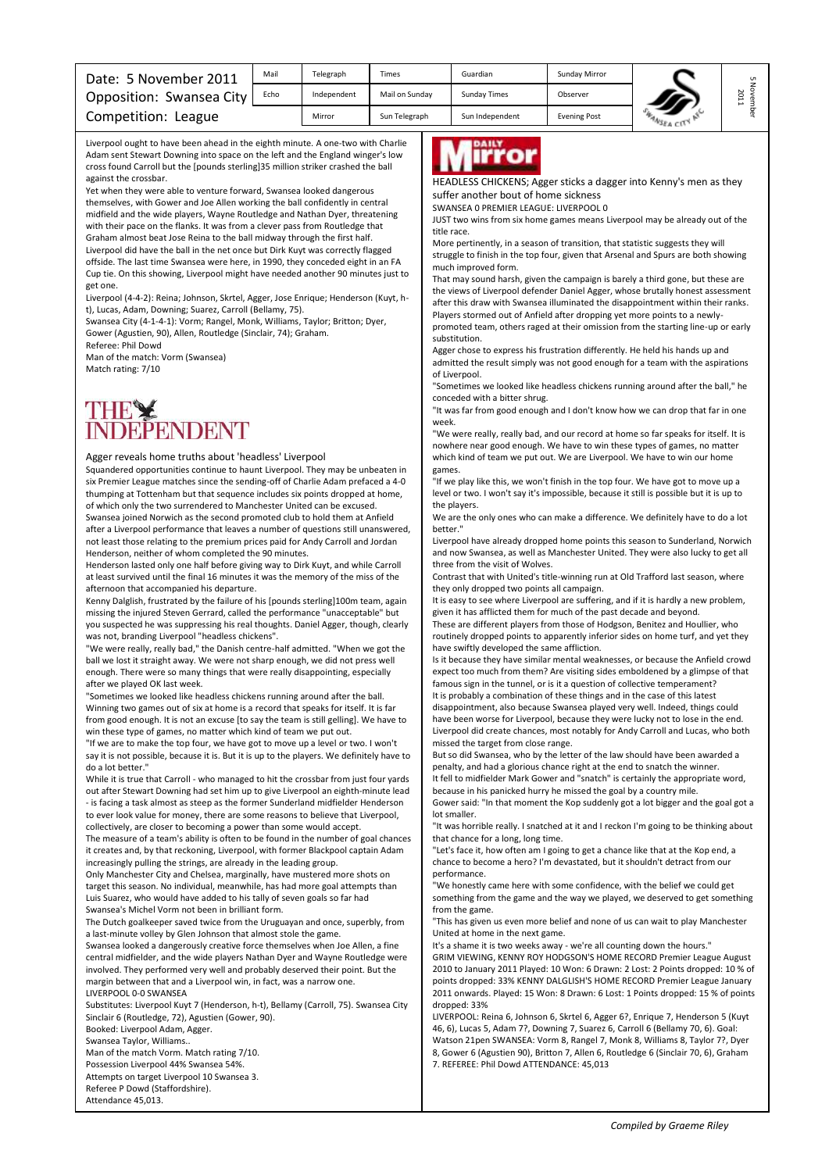| Date: 5 November 2011    | Mail | Telegraph   | Times          | Guardian        | Sunday Mirror       |           |     |
|--------------------------|------|-------------|----------------|-----------------|---------------------|-----------|-----|
| Opposition: Swansea City | Echo | Independent | Mail on Sundav | Sunday Times    | Observer            |           | 201 |
| Competition: League      |      | Mirror      | Sun Telegraph  | Sun Independent | <b>Evening Post</b> | ግንያያል ሮርር |     |

Liverpool ought to have been ahead in the eighth minute. A one-two with Charlie Adam sent Stewart Downing into space on the left and the England winger's low cross found Carroll but the [pounds sterling]35 million striker crashed the ball against the crossbar.

Yet when they were able to venture forward, Swansea looked dangerous themselves, with Gower and Joe Allen working the ball confidently in central midfield and the wide players, Wayne Routledge and Nathan Dyer, threatening with their pace on the flanks. It was from a clever pass from Routledge that Graham almost beat Jose Reina to the ball midway through the first half. Liverpool did have the ball in the net once but Dirk Kuyt was correctly flagged offside. The last time Swansea were here, in 1990, they conceded eight in an FA Cup tie. On this showing, Liverpool might have needed another 90 minutes just to get one.

Liverpool (4-4-2): Reina; Johnson, Skrtel, Agger, Jose Enrique; Henderson (Kuyt, ht), Lucas, Adam, Downing; Suarez, Carroll (Bellamy, 75).

Swansea City (4-1-4-1): Vorm; Rangel, Monk, Williams, Taylor; Britton; Dyer, Gower (Agustien, 90), Allen, Routledge (Sinclair, 74); Graham. Referee: Phil Dowd

Man of the match: Vorm (Swansea) Match rating: 7/10

### THEY **INDEPENDENT**

### Agger reveals home truths about 'headless' Liverpool

Squandered opportunities continue to haunt Liverpool. They may be unbeaten in six Premier League matches since the sending-off of Charlie Adam prefaced a 4-0 thumping at Tottenham but that sequence includes six points dropped at home of which only the two surrendered to Manchester United can be excused. Swansea joined Norwich as the second promoted club to hold them at Anfield after a Liverpool performance that leaves a number of questions still unanswered,

not least those relating to the premium prices paid for Andy Carroll and Jordan Henderson, neither of whom completed the 90 minutes.

Henderson lasted only one half before giving way to Dirk Kuyt, and while Carroll at least survived until the final 16 minutes it was the memory of the miss of the afternoon that accompanied his departure.

Kenny Dalglish, frustrated by the failure of his [pounds sterling]100m team, again missing the injured Steven Gerrard, called the performance "unacceptable" but you suspected he was suppressing his real thoughts. Daniel Agger, though, clearly was not, branding Liverpool "headless chickens".

"We were really, really bad," the Danish centre-half admitted. "When we got the ball we lost it straight away. We were not sharp enough, we did not press well enough. There were so many things that were really disappointing, especially after we played OK last week.

"Sometimes we looked like headless chickens running around after the ball. Winning two games out of six at home is a record that speaks for itself. It is far from good enough. It is not an excuse [to say the team is still gelling]. We have to win these type of games, no matter which kind of team we put out.

"If we are to make the top four, we have got to move up a level or two. I won't say it is not possible, because it is. But it is up to the players. We definitely have to do a lot better."

While it is true that Carroll - who managed to hit the crossbar from just four yards out after Stewart Downing had set him up to give Liverpool an eighth-minute lead - is facing a task almost as steep as the former Sunderland midfielder Henderson to ever look value for money, there are some reasons to believe that Liverpool,

collectively, are closer to becoming a power than some would accept. The measure of a team's ability is often to be found in the number of goal chances it creates and, by that reckoning, Liverpool, with former Blackpool captain Adam increasingly pulling the strings, are already in the leading group.

Only Manchester City and Chelsea, marginally, have mustered more shots on target this season. No individual, meanwhile, has had more goal attempts than Luis Suarez, who would have added to his tally of seven goals so far had Swansea's Michel Vorm not been in brilliant form.

The Dutch goalkeeper saved twice from the Uruguayan and once, superbly, from a last-minute volley by Glen Johnson that almost stole the game.

Swansea looked a dangerously creative force themselves when Joe Allen, a fine central midfielder, and the wide players Nathan Dyer and Wayne Routledge were involved. They performed very well and probably deserved their point. But the margin between that and a Liverpool win, in fact, was a narrow one.

LIVERPOOL 0-0 SWANSEA

Substitutes: Liverpool Kuyt 7 (Henderson, h-t), Bellamy (Carroll, 75). Swansea City Sinclair 6 (Routledge, 72), Agustien (Gower, 90).

Booked: Liverpool Adam, Agger.

Swansea Taylor, Williams..

Man of the match Vorm. Match rating 7/10.

Possession Liverpool 44% Swansea 54%.

Attempts on target Liverpool 10 Swansea 3. Referee P Dowd (Staffordshire).

Attendance 45,013.

# ırrom

HEADLESS CHICKENS; Agger sticks a dagger into Kenny's men as they suffer another bout of home sickness

SWANSEA 0 PREMIER LEAGUE: LIVERPOOL 0

JUST two wins from six home games means Liverpool may be already out of the title race.

More pertinently, in a season of transition, that statistic suggests they will struggle to finish in the top four, given that Arsenal and Spurs are both showing much improved form.

That may sound harsh, given the campaign is barely a third gone, but these are the views of Liverpool defender Daniel Agger, whose brutally honest assessment after this draw with Swansea illuminated the disappointment within their ranks. Players stormed out of Anfield after dropping yet more points to a newly-

promoted team, others raged at their omission from the starting line-up or early substitution.

Agger chose to express his frustration differently. He held his hands up and admitted the result simply was not good enough for a team with the aspirations of Liverpool.

"Sometimes we looked like headless chickens running around after the ball," he conceded with a bitter shrug.

"It was far from good enough and I don't know how we can drop that far in one week.

"We were really, really bad, and our record at home so far speaks for itself. It is nowhere near good enough. We have to win these types of games, no matter which kind of team we put out. We are Liverpool. We have to win our home games.

"If we play like this, we won't finish in the top four. We have got to move up a level or two. I won't say it's impossible, because it still is possible but it is up to the players.

We are the only ones who can make a difference. We definitely have to do a lot better."

Liverpool have already dropped home points this season to Sunderland, Norwich and now Swansea, as well as Manchester United. They were also lucky to get all three from the visit of Wolves.

Contrast that with United's title-winning run at Old Trafford last season, where they only dropped two points all campaign.

It is easy to see where Liverpool are suffering, and if it is hardly a new problem, given it has afflicted them for much of the past decade and beyond.

These are different players from those of Hodgson, Benitez and Houllier, who routinely dropped points to apparently inferior sides on home turf, and yet they have swiftly developed the same affliction.

Is it because they have similar mental weaknesses, or because the Anfield crowd expect too much from them? Are visiting sides emboldened by a glimpse of that famous sign in the tunnel, or is it a question of collective temperament?

It is probably a combination of these things and in the case of this latest disappointment, also because Swansea played very well. Indeed, things could have been worse for Liverpool, because they were lucky not to lose in the end. Liverpool did create chances, most notably for Andy Carroll and Lucas, who both missed the target from close range.

But so did Swansea, who by the letter of the law should have been awarded a penalty, and had a glorious chance right at the end to snatch the winner. It fell to midfielder Mark Gower and "snatch" is certainly the appropriate word, because in his panicked hurry he missed the goal by a country mile. Gower said: "In that moment the Kop suddenly got a lot bigger and the goal got a

lot smaller. "It was horrible really. I snatched at it and I reckon I'm going to be thinking about

that chance for a long, long time.

"Let's face it, how often am I going to get a chance like that at the Kop end, a chance to become a hero? I'm devastated, but it shouldn't detract from our performance.

"We honestly came here with some confidence, with the belief we could get something from the game and the way we played, we deserved to get something from the game.

"This has given us even more belief and none of us can wait to play Manchester United at home in the next game.

It's a shame it is two weeks away - we're all counting down the hours."

GRIM VIEWING, KENNY ROY HODGSON'S HOME RECORD Premier League August 2010 to January 2011 Played: 10 Won: 6 Drawn: 2 Lost: 2 Points dropped: 10 % of points dropped: 33% KENNY DALGLISH'S HOME RECORD Premier League January 2011 onwards. Played: 15 Won: 8 Drawn: 6 Lost: 1 Points dropped: 15 % of points dropped: 33%

LIVERPOOL: Reina 6, Johnson 6, Skrtel 6, Agger 6?, Enrique 7, Henderson 5 (Kuyt 46, 6), Lucas 5, Adam 7?, Downing 7, Suarez 6, Carroll 6 (Bellamy 70, 6). Goal: Watson 21pen SWANSEA: Vorm 8, Rangel 7, Monk 8, Williams 8, Taylor 7?, Dyer 8, Gower 6 (Agustien 90), Britton 7, Allen 6, Routledge 6 (Sinclair 70, 6), Graham 7. REFEREE: Phil Dowd ATTENDANCE: 45,013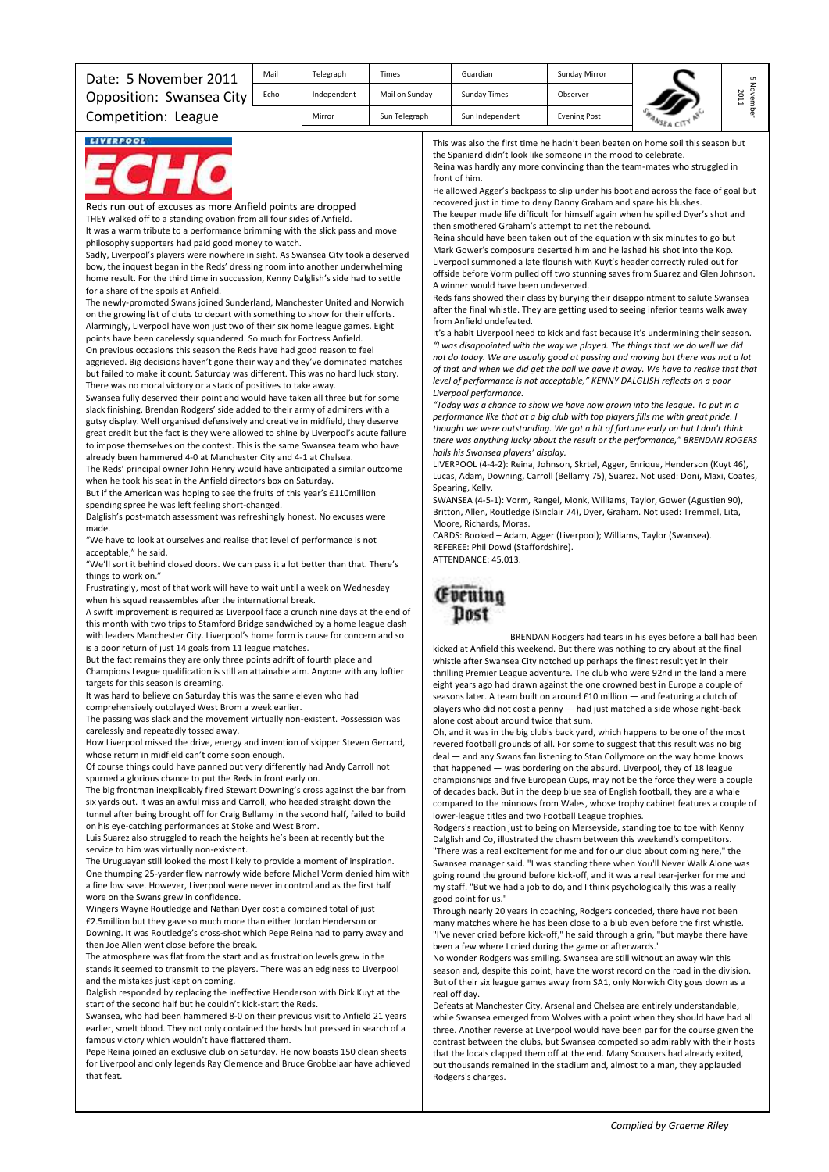| Date: 5 November 2011    | Mail | Telegraph  | Times          | Guardian            | Sunday Mirror       |           | <b>UT</b>        |
|--------------------------|------|------------|----------------|---------------------|---------------------|-----------|------------------|
| Opposition: Swansea City | Echo | ndependent | Mail on Sunday | <b>Sunday Times</b> | Observer            |           | $\sim$<br>ö<br>∸ |
| Competition: League      |      | Mirror     | Sun Telegraph  | Sun Independent     | <b>Evening Post</b> | VSEA CITY |                  |

# **LIVERPOOL**

Reds run out of excuses as more Anfield points are dropped THEY walked off to a standing ovation from all four sides of Anfield.

It was a warm tribute to a performance brimming with the slick pass and move philosophy supporters had paid good money to watch.

Sadly, Liverpool's players were nowhere in sight. As Swansea City took a deserved bow, the inquest began in the Reds' dressing room into another underwhelming home result. For the third time in succession, Kenny Dalglish's side had to settle for a share of the spoils at Anfield.

The newly-promoted Swans joined Sunderland, Manchester United and Norwich on the growing list of clubs to depart with something to show for their efforts. Alarmingly, Liverpool have won just two of their six home league games. Eight

points have been carelessly squandered. So much for Fortress Anfield. On previous occasions this season the Reds have had good reason to feel aggrieved. Big decisions haven't gone their way and they've dominated matches but failed to make it count. Saturday was different. This was no hard luck story. There was no moral victory or a stack of positives to take away.

Swansea fully deserved their point and would have taken all three but for some slack finishing. Brendan Rodgers' side added to their army of admirers with a gutsy display. Well organised defensively and creative in midfield, they deserve great credit but the fact is they were allowed to shine by Liverpool's acute failure to impose themselves on the contest. This is the same Swansea team who have already been hammered 4-0 at Manchester City and 4-1 at Chelsea.

The Reds' principal owner John Henry would have anticipated a similar outcome when he took his seat in the Anfield directors box on Saturday.

But if the American was hoping to see the fruits of this year's £110million spending spree he was left feeling short-changed.

Dalglish's post-match assessment was refreshingly honest. No excuses were made.

"We have to look at ourselves and realise that level of performance is not acceptable," he said.

"We'll sort it behind closed doors. We can pass it a lot better than that. There's things to work on."

Frustratingly, most of that work will have to wait until a week on Wednesday when his squad reassembles after the international break.

A swift improvement is required as Liverpool face a crunch nine days at the end of this month with two trips to Stamford Bridge sandwiched by a home league clash with leaders Manchester City. Liverpool's home form is cause for concern and so is a poor return of just 14 goals from 11 league matches.

But the fact remains they are only three points adrift of fourth place and Champions League qualification is still an attainable aim. Anyone with any loftier targets for this season is dreaming.

It was hard to believe on Saturday this was the same eleven who had

comprehensively outplayed West Brom a week earlier.

The passing was slack and the movement virtually non-existent. Possession was carelessly and repeatedly tossed away.

How Liverpool missed the drive, energy and invention of skipper Steven Gerrard, whose return in midfield can't come soon enough.

Of course things could have panned out very differently had Andy Carroll not spurned a glorious chance to put the Reds in front early on.

The big frontman inexplicably fired Stewart Downing's cross against the bar from six yards out. It was an awful miss and Carroll, who headed straight down the tunnel after being brought off for Craig Bellamy in the second half, failed to build

on his eye-catching performances at Stoke and West Brom. Luis Suarez also struggled to reach the heights he's been at recently but the service to him was virtually non-existent.

The Uruguayan still looked the most likely to provide a moment of inspiration. One thumping 25-yarder flew narrowly wide before Michel Vorm denied him with a fine low save. However, Liverpool were never in control and as the first half wore on the Swans grew in confidence.

Wingers Wayne Routledge and Nathan Dyer cost a combined total of just £2.5million but they gave so much more than either Jordan Henderson or Downing. It was Routledge's cross-shot which Pepe Reina had to parry away and then Joe Allen went close before the break.

The atmosphere was flat from the start and as frustration levels grew in the stands it seemed to transmit to the players. There was an edginess to Liverpool and the mistakes just kept on coming.

Dalglish responded by replacing the ineffective Henderson with Dirk Kuyt at the start of the second half but he couldn't kick-start the Reds.

Swansea, who had been hammered 8-0 on their previous visit to Anfield 21 years earlier, smelt blood. They not only contained the hosts but pressed in search of a famous victory which wouldn't have flattered them.

Pepe Reina joined an exclusive club on Saturday. He now boasts 150 clean sheets for Liverpool and only legends Ray Clemence and Bruce Grobbelaar have achieved that feat.

This was also the first time he hadn't been beaten on home soil this season but the Spaniard didn't look like someone in the mood to celebrate. Reina was hardly any more convincing than the team-mates who struggled in front of him.

He allowed Agger's backpass to slip under his boot and across the face of goal but recovered just in time to deny Danny Graham and spare his blushes. The keeper made life difficult for himself again when he spilled Dyer's shot and then smothered Graham's attempt to net the rebound.

Reina should have been taken out of the equation with six minutes to go but Mark Gower's composure deserted him and he lashed his shot into the Kop. Liverpool summoned a late flourish with Kuyt's header correctly ruled out for offside before Vorm pulled off two stunning saves from Suarez and Glen Johnson. A winner would have been undeserved.

Reds fans showed their class by burying their disappointment to salute Swansea after the final whistle. They are getting used to seeing inferior teams walk away from Anfield undefeated.

It's a habit Liverpool need to kick and fast because it's undermining their season. *"I was disappointed with the way we played. The things that we do well we did not do today. We are usually good at passing and moving but there was not a lot of that and when we did get the ball we gave it away. We have to realise that that level of performance is not acceptable," KENNY DALGLISH reflects on a poor Liverpool performance.*

*"Today was a chance to show we have now grown into the league. To put in a performance like that at a big club with top players fills me with great pride. I thought we were outstanding. We got a bit of fortune early on but I don't think there was anything lucky about the result or the performance," BRENDAN ROGERS hails his Swansea players' display.*

LIVERPOOL (4-4-2): Reina, Johnson, Skrtel, Agger, Enrique, Henderson (Kuyt 46), Lucas, Adam, Downing, Carroll (Bellamy 75), Suarez. Not used: Doni, Maxi, Coates, Spearing, Kelly.

SWANSEA (4-5-1): Vorm, Rangel, Monk, Williams, Taylor, Gower (Agustien 90), Britton, Allen, Routledge (Sinclair 74), Dyer, Graham. Not used: Tremmel, Lita, Moore, Richards, Moras.

CARDS: Booked – Adam, Agger (Liverpool); Williams, Taylor (Swansea). REFEREE: Phil Dowd (Staffordshire).

ATTENDANCE: 45,013.



BRENDAN Rodgers had tears in his eyes before a ball had been kicked at Anfield this weekend. But there was nothing to cry about at the final whistle after Swansea City notched up perhaps the finest result yet in their thrilling Premier League adventure. The club who were 92nd in the land a mere eight years ago had drawn against the one crowned best in Europe a couple of seasons later. A team built on around £10 million — and featuring a clutch of players who did not cost a penny — had just matched a side whose right-back alone cost about around twice that sum.

Oh, and it was in the big club's back yard, which happens to be one of the most revered football grounds of all. For some to suggest that this result was no big deal — and any Swans fan listening to Stan Collymore on the way home knows that happened — was bordering on the absurd. Liverpool, they of 18 league championships and five European Cups, may not be the force they were a couple of decades back. But in the deep blue sea of English football, they are a whale compared to the minnows from Wales, whose trophy cabinet features a couple of lower-league titles and two Football League trophies.

Rodgers's reaction just to being on Merseyside, standing toe to toe with Kenny Dalglish and Co, illustrated the chasm between this weekend's competitors. "There was a real excitement for me and for our club about coming here," the Swansea manager said. "I was standing there when You'll Never Walk Alone was going round the ground before kick-off, and it was a real tear-jerker for me and my staff. "But we had a job to do, and I think psychologically this was a really good point for us."

Through nearly 20 years in coaching, Rodgers conceded, there have not been many matches where he has been close to a blub even before the first whistle. "I've never cried before kick-off," he said through a grin, "but maybe there have been a few where I cried during the game or afterwards.

No wonder Rodgers was smiling. Swansea are still without an away win this season and, despite this point, have the worst record on the road in the division. But of their six league games away from SA1, only Norwich City goes down as a real off day.

Defeats at Manchester City, Arsenal and Chelsea are entirely understandable, while Swansea emerged from Wolves with a point when they should have had all three. Another reverse at Liverpool would have been par for the course given the contrast between the clubs, but Swansea competed so admirably with their hosts that the locals clapped them off at the end. Many Scousers had already exited, but thousands remained in the stadium and, almost to a man, they applauded Rodgers's charges.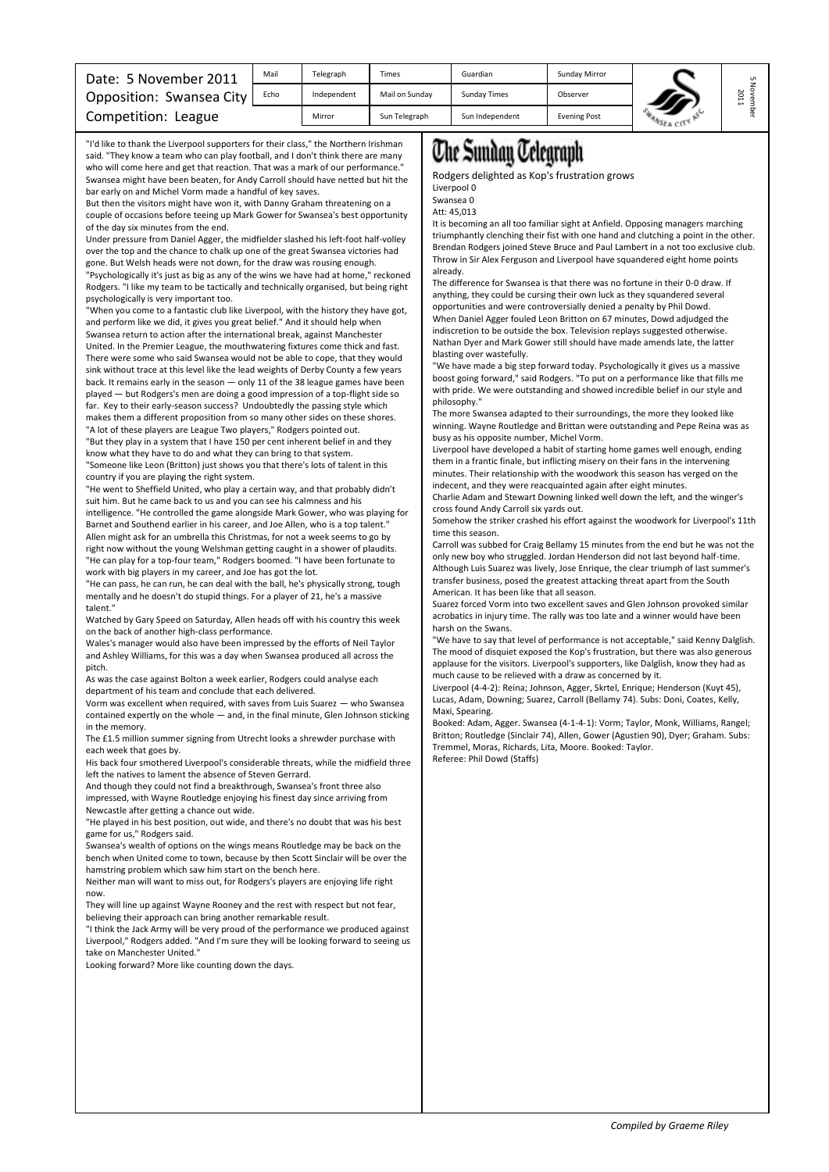| Date: 5 November 2011    | Mail | Telegraph   | Times          | Guardian        | Sunday Mirror       |         | <b>UT</b> |
|--------------------------|------|-------------|----------------|-----------------|---------------------|---------|-----------|
| Opposition: Swansea City | Echo | Independent | Mail on Sunday | Sunday Times    | Observer            |         | 201       |
| Competition: League      |      | Mirror      | Sun Telegraph  | Sun Independent | <b>Evening Post</b> | ግያያል ሰጡ |           |

"I'd like to thank the Liverpool supporters for their class," the Northern Irishman said. "They know a team who can play football, and I don't think there are many who will come here and get that reaction. That was a mark of our performance. Swansea might have been beaten, for Andy Carroll should have netted but hit the bar early on and Michel Vorm made a handful of key saves.

But then the visitors might have won it, with Danny Graham threatening on a couple of occasions before teeing up Mark Gower for Swansea's best opportunity of the day six minutes from the end.

Under pressure from Daniel Agger, the midfielder slashed his left-foot half-volley over the top and the chance to chalk up one of the great Swansea victories had gone. But Welsh heads were not down, for the draw was rousing enough.

"Psychologically it's just as big as any of the wins we have had at home," reckoned Rodgers. "I like my team to be tactically and technically organised, but being right psychologically is very important too.

"When you come to a fantastic club like Liverpool, with the history they have got, and perform like we did, it gives you great belief." And it should help when Swansea return to action after the international break, against Manchester United. In the Premier League, the mouthwatering fixtures come thick and fast. There were some who said Swansea would not be able to cope, that they would sink without trace at this level like the lead weights of Derby County a few years back. It remains early in the season — only 11 of the 38 league games have been played — but Rodgers's men are doing a good impression of a top-flight side so far. Key to their early-season success? Undoubtedly the passing style which

makes them a different proposition from so many other sides on these shores. 'A lot of these players are League Two players," Rodgers pointed out.

"But they play in a system that I have 150 per cent inherent belief in and they know what they have to do and what they can bring to that system. "Someone like Leon (Britton) just shows you that there's lots of talent in this country if you are playing the right system.

"He went to Sheffield United, who play a certain way, and that probably didn't suit him. But he came back to us and you can see his calmness and his

intelligence. "He controlled the game alongside Mark Gower, who was playing for Barnet and Southend earlier in his career, and Joe Allen, who is a top talent." Allen might ask for an umbrella this Christmas, for not a week seems to go by right now without the young Welshman getting caught in a shower of plaudits. "He can play for a top-four team," Rodgers boomed. "I have been fortunate to work with big players in my career, and Joe has got the lot.

"He can pass, he can run, he can deal with the ball, he's physically strong, tough mentally and he doesn't do stupid things. For a player of 21, he's a massive talent."

Watched by Gary Speed on Saturday, Allen heads off with his country this week on the back of another high-class performance.

Wales's manager would also have been impressed by the efforts of Neil Taylor and Ashley Williams, for this was a day when Swansea produced all across the pitch.

As was the case against Bolton a week earlier, Rodgers could analyse each department of his team and conclude that each delivered.

Vorm was excellent when required, with saves from Luis Suarez — who Swansea contained expertly on the whole — and, in the final minute, Glen Johnson sticking in the memory.

The £1.5 million summer signing from Utrecht looks a shrewder purchase with each week that goes by.

His back four smothered Liverpool's considerable threats, while the midfield three left the natives to lament the absence of Steven Gerrard.

And though they could not find a breakthrough, Swansea's front three also impressed, with Wayne Routledge enjoying his finest day since arriving from Newcastle after getting a chance out wide.

"He played in his best position, out wide, and there's no doubt that was his best game for us," Rodgers said.

Swansea's wealth of options on the wings means Routledge may be back on the bench when United come to town, because by then Scott Sinclair will be over the hamstring problem which saw him start on the bench here.

Neither man will want to miss out, for Rodgers's players are enjoying life right now.

They will line up against Wayne Rooney and the rest with respect but not fear, believing their approach can bring another remarkable result.

"I think the Jack Army will be very proud of the performance we produced against Liverpool," Rodgers added. "And I'm sure they will be looking forward to seeing us take on Manchester United."

Looking forward? More like counting down the days.

# **The Sunday Telegraph**

Rodgers delighted as Kop's frustration grows

Liverpool 0 Swansea 0

 $Att: 45,013$ 

It is becoming an all too familiar sight at Anfield. Opposing managers marching triumphantly clenching their fist with one hand and clutching a point in the other. Brendan Rodgers joined Steve Bruce and Paul Lambert in a not too exclusive club. Throw in Sir Alex Ferguson and Liverpool have squandered eight home points already.

The difference for Swansea is that there was no fortune in their 0-0 draw. If anything, they could be cursing their own luck as they squandered several opportunities and were controversially denied a penalty by Phil Dowd. When Daniel Agger fouled Leon Britton on 67 minutes, Dowd adjudged the indiscretion to be outside the box. Television replays suggested otherwise. Nathan Dyer and Mark Gower still should have made amends late, the latter blasting over wastefully.

"We have made a big step forward today. Psychologically it gives us a massive boost going forward," said Rodgers. "To put on a performance like that fills me with pride. We were outstanding and showed incredible belief in our style and philosophy."

The more Swansea adapted to their surroundings, the more they looked like winning. Wayne Routledge and Brittan were outstanding and Pepe Reina was as busy as his opposite number, Michel Vorm.

Liverpool have developed a habit of starting home games well enough, ending them in a frantic finale, but inflicting misery on their fans in the intervening minutes. Their relationship with the woodwork this season has verged on the indecent, and they were reacquainted again after eight minutes.

Charlie Adam and Stewart Downing linked well down the left, and the winger's cross found Andy Carroll six yards out.

Somehow the striker crashed his effort against the woodwork for Liverpool's 11th time this season.

Carroll was subbed for Craig Bellamy 15 minutes from the end but he was not the only new boy who struggled. Jordan Henderson did not last beyond half-time. Although Luis Suarez was lively, Jose Enrique, the clear triumph of last summer's transfer business, posed the greatest attacking threat apart from the South American. It has been like that all season.

Suarez forced Vorm into two excellent saves and Glen Johnson provoked similar acrobatics in injury time. The rally was too late and a winner would have been harsh on the Swans.

"We have to say that level of performance is not acceptable," said Kenny Dalglish. The mood of disquiet exposed the Kop's frustration, but there was also generous applause for the visitors. Liverpool's supporters, like Dalglish, know they had as much cause to be relieved with a draw as concerned by it.

Liverpool (4-4-2): Reina; Johnson, Agger, Skrtel, Enrique; Henderson (Kuyt 45), Lucas, Adam, Downing; Suarez, Carroll (Bellamy 74). Subs: Doni, Coates, Kelly, Maxi, Spearing.

Booked: Adam, Agger. Swansea (4-1-4-1): Vorm; Taylor, Monk, Williams, Rangel; Britton; Routledge (Sinclair 74), Allen, Gower (Agustien 90), Dyer; Graham. Subs: Tremmel, Moras, Richards, Lita, Moore. Booked: Taylor. Referee: Phil Dowd (Staffs)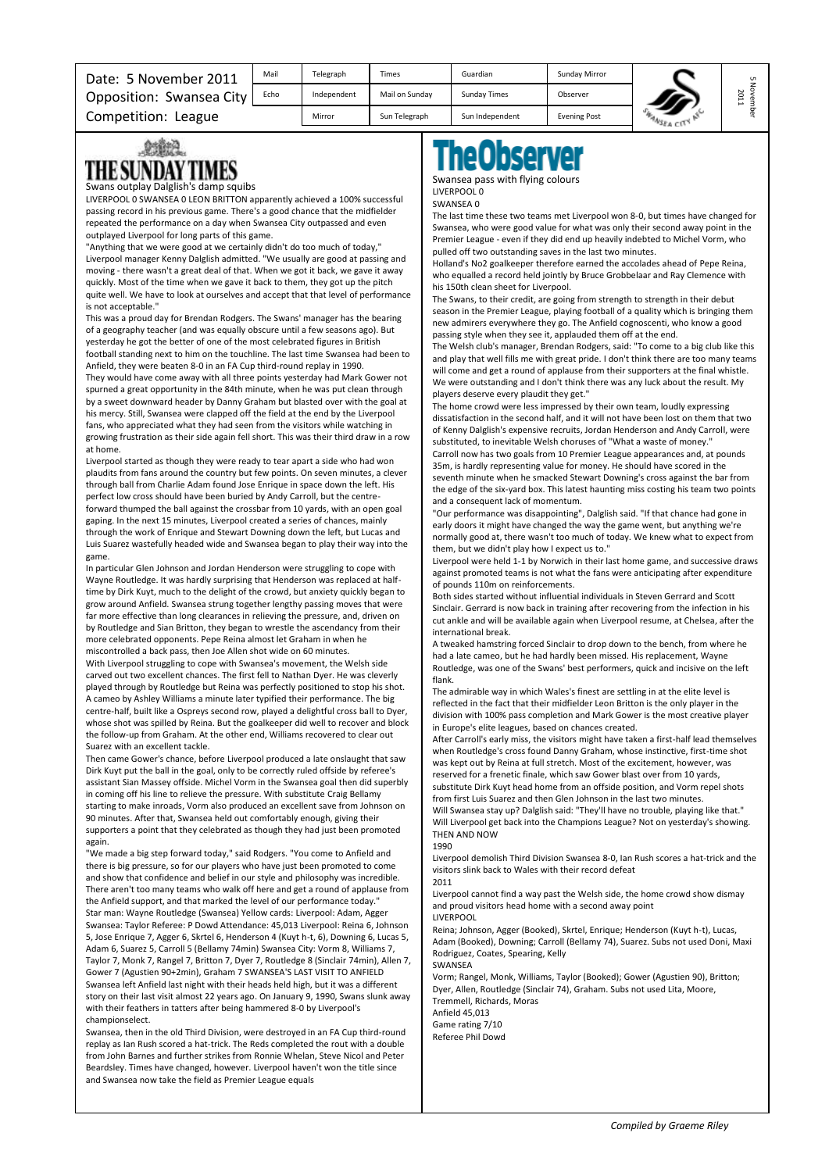| Date: 5 November 2011    | Mail | Telegraph   | Times          | Guardian        | Sunday Mirror       |           | <b>UT</b> |
|--------------------------|------|-------------|----------------|-----------------|---------------------|-----------|-----------|
| Opposition: Swansea City | Echo | Independent | Mail on Sundav | Sundav Times    | Observer            |           | 201       |
| Competition: League      |      | Mirror      | Sun Telegraph  | Sun Independent | <b>Evening Post</b> | WSEA CITY |           |

### **Joseph** THE SUNDAY TIMES Swans outplay Dalglish's damp squibs

LIVERPOOL 0 SWANSEA 0 LEON BRITTON apparently achieved a 100% successful passing record in his previous game. There's a good chance that the midfielder repeated the performance on a day when Swansea City outpassed and even outplayed Liverpool for long parts of this game.

"Anything that we were good at we certainly didn't do too much of today," Liverpool manager Kenny Dalglish admitted. "We usually are good at passing and moving - there wasn't a great deal of that. When we got it back, we gave it away quickly. Most of the time when we gave it back to them, they got up the pitch quite well. We have to look at ourselves and accept that that level of performance is not acceptable."

This was a proud day for Brendan Rodgers. The Swans' manager has the bearing of a geography teacher (and was equally obscure until a few seasons ago). But yesterday he got the better of one of the most celebrated figures in British football standing next to him on the touchline. The last time Swansea had been to Anfield, they were beaten 8-0 in an FA Cup third-round replay in 1990. They would have come away with all three points yesterday had Mark Gower not spurned a great opportunity in the 84th minute, when he was put clean through by a sweet downward header by Danny Graham but blasted over with the goal at his mercy. Still, Swansea were clapped off the field at the end by the Liverpool fans, who appreciated what they had seen from the visitors while watching in growing frustration as their side again fell short. This was their third draw in a row at home.

Liverpool started as though they were ready to tear apart a side who had won plaudits from fans around the country but few points. On seven minutes, a clever through ball from Charlie Adam found Jose Enrique in space down the left. His perfect low cross should have been buried by Andy Carroll, but the centreforward thumped the ball against the crossbar from 10 yards, with an open goal gaping. In the next 15 minutes, Liverpool created a series of chances, mainly through the work of Enrique and Stewart Downing down the left, but Lucas and Luis Suarez wastefully headed wide and Swansea began to play their way into the game.

In particular Glen Johnson and Jordan Henderson were struggling to cope with Wayne Routledge. It was hardly surprising that Henderson was replaced at halftime by Dirk Kuyt, much to the delight of the crowd, but anxiety quickly began to grow around Anfield. Swansea strung together lengthy passing moves that were far more effective than long clearances in relieving the pressure, and, driven on by Routledge and Sian Britton, they began to wrestle the ascendancy from their more celebrated opponents. Pepe Reina almost let Graham in when he miscontrolled a back pass, then Joe Allen shot wide on 60 minutes. With Liverpool struggling to cope with Swansea's movement, the Welsh side carved out two excellent chances. The first fell to Nathan Dyer. He was cleverly played through by Routledge but Reina was perfectly positioned to stop his shot. A cameo by Ashley Williams a minute later typified their performance. The big centre-half, built like a Ospreys second row, played a delightful cross ball to Dyer, whose shot was spilled by Reina. But the goalkeeper did well to recover and block the follow-up from Graham. At the other end, Williams recovered to clear out

Suarez with an excellent tackle. Then came Gower's chance, before Liverpool produced a late onslaught that saw Dirk Kuyt put the ball in the goal, only to be correctly ruled offside by referee's assistant Sian Massey offside. Michel Vorm in the Swansea goal then did superbly in coming off his line to relieve the pressure. With substitute Craig Bellamy starting to make inroads, Vorm also produced an excellent save from Johnson on 90 minutes. After that, Swansea held out comfortably enough, giving their

supporters a point that they celebrated as though they had just been promoted again.

"We made a big step forward today," said Rodgers. "You come to Anfield and there is big pressure, so for our players who have just been promoted to come and show that confidence and belief in our style and philosophy was incredible. There aren't too many teams who walk off here and get a round of applause from the Anfield support, and that marked the level of our performance today." Star man: Wayne Routledge (Swansea) Yellow cards: Liverpool: Adam, Agger Swansea: Taylor Referee: P Dowd Attendance: 45,013 Liverpool: Reina 6, Johnson 5, Jose Enrique 7, Agger 6, Skrtel 6, Henderson 4 (Kuyt h-t, 6), Downing 6, Lucas 5, Adam 6, Suarez 5, Carroll 5 (Bellamy 74min) Swansea City: Vorm 8, Williams 7, Taylor 7, Monk 7, Rangel 7, Britton 7, Dyer 7, Routledge 8 (Sinclair 74min), Allen 7, Gower 7 (Agustien 90+2min), Graham 7 SWANSEA'S LAST VISIT TO ANFIELD Swansea left Anfield last night with their heads held high, but it was a different story on their last visit almost 22 years ago. On January 9, 1990, Swans slunk away with their feathers in tatters after being hammered 8-0 by Liverpool's championselect.

Swansea, then in the old Third Division, were destroyed in an FA Cup third-round replay as Ian Rush scored a hat-trick. The Reds completed the rout with a double from John Barnes and further strikes from Ronnie Whelan, Steve Nicol and Peter Beardsley. Times have changed, however. Liverpool haven't won the title since and Swansea now take the field as Premier League equals

### TheObserver Swansea pass with flying colour

LIVERPOOL 0

SWANSEA 0

The last time these two teams met Liverpool won 8-0, but times have changed for Swansea, who were good value for what was only their second away point in the Premier League - even if they did end up heavily indebted to Michel Vorm, who pulled off two outstanding saves in the last two minutes.

Holland's No2 goalkeeper therefore earned the accolades ahead of Pepe Reina, who equalled a record held jointly by Bruce Grobbelaar and Ray Clemence with his 150th clean sheet for Liverpool.

The Swans, to their credit, are going from strength to strength in their debut season in the Premier League, playing football of a quality which is bringing them new admirers everywhere they go. The Anfield cognoscenti, who know a good passing style when they see it, applauded them off at the end.

The Welsh club's manager, Brendan Rodgers, said: "To come to a big club like this and play that well fills me with great pride. I don't think there are too many teams will come and get a round of applause from their supporters at the final whistle. We were outstanding and I don't think there was any luck about the result. My players deserve every plaudit they get."

The home crowd were less impressed by their own team, loudly expressing dissatisfaction in the second half, and it will not have been lost on them that two of Kenny Dalglish's expensive recruits, Jordan Henderson and Andy Carroll, were substituted, to inevitable Welsh choruses of "What a waste of money." Carroll now has two goals from 10 Premier League appearances and, at pounds 35m, is hardly representing value for money. He should have scored in the seventh minute when he smacked Stewart Downing's cross against the bar from the edge of the six-yard box. This latest haunting miss costing his team two points and a consequent lack of momentum.

"Our performance was disappointing", Dalglish said. "If that chance had gone in early doors it might have changed the way the game went, but anything we're normally good at, there wasn't too much of today. We knew what to expect from them, but we didn't play how I expect us to."

Liverpool were held 1-1 by Norwich in their last home game, and successive draws against promoted teams is not what the fans were anticipating after expenditure of pounds 110m on reinforcements.

Both sides started without influential individuals in Steven Gerrard and Scott Sinclair. Gerrard is now back in training after recovering from the infection in his cut ankle and will be available again when Liverpool resume, at Chelsea, after the international break.

A tweaked hamstring forced Sinclair to drop down to the bench, from where he had a late cameo, but he had hardly been missed. His replacement, Wayne Routledge, was one of the Swans' best performers, quick and incisive on the left flank.

The admirable way in which Wales's finest are settling in at the elite level is reflected in the fact that their midfielder Leon Britton is the only player in the division with 100% pass completion and Mark Gower is the most creative player in Europe's elite leagues, based on chances created.

After Carroll's early miss, the visitors might have taken a first-half lead themselves when Routledge's cross found Danny Graham, whose instinctive, first-time shot was kept out by Reina at full stretch. Most of the excitement, however, was reserved for a frenetic finale, which saw Gower blast over from 10 yards, substitute Dirk Kuyt head home from an offside position, and Vorm repel shots from first Luis Suarez and then Glen Johnson in the last two minutes.

Will Swansea stay up? Dalglish said: "They'll have no trouble, playing like that." Will Liverpool get back into the Champions League? Not on yesterday's showing. THEN AND NOW

### 1990

Liverpool demolish Third Division Swansea 8-0, Ian Rush scores a hat-trick and the visitors slink back to Wales with their record defeat 2011

Liverpool cannot find a way past the Welsh side, the home crowd show dismay and proud visitors head home with a second away point

### LIVERPOOL

Reina; Johnson, Agger (Booked), Skrtel, Enrique; Henderson (Kuyt h-t), Lucas, Adam (Booked), Downing; Carroll (Bellamy 74), Suarez. Subs not used Doni, Maxi Rodriguez, Coates, Spearing, Kelly

### **SWANSEA**

Vorm; Rangel, Monk, Williams, Taylor (Booked); Gower (Agustien 90), Britton; Dyer, Allen, Routledge (Sinclair 74), Graham. Subs not used Lita, Moore, Tremmell, Richards, Moras

Anfield 45,013

Game rating 7/10 Referee Phil Dowd